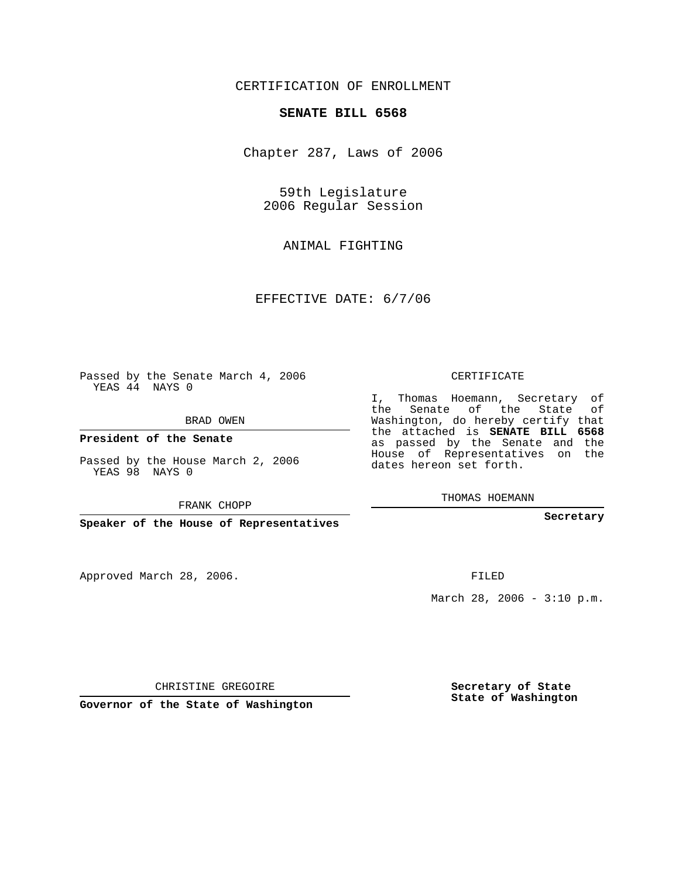## CERTIFICATION OF ENROLLMENT

## **SENATE BILL 6568**

Chapter 287, Laws of 2006

59th Legislature 2006 Regular Session

ANIMAL FIGHTING

EFFECTIVE DATE: 6/7/06

Passed by the Senate March 4, 2006 YEAS 44 NAYS 0

BRAD OWEN

**President of the Senate**

Passed by the House March 2, 2006 YEAS 98 NAYS 0

FRANK CHOPP

**Speaker of the House of Representatives**

Approved March 28, 2006.

CERTIFICATE

I, Thomas Hoemann, Secretary of the Senate of the State of Washington, do hereby certify that the attached is **SENATE BILL 6568** as passed by the Senate and the House of Representatives on the dates hereon set forth.

THOMAS HOEMANN

**Secretary**

FILED

March 28, 2006 -  $3:10$  p.m.

CHRISTINE GREGOIRE

**Governor of the State of Washington**

**Secretary of State State of Washington**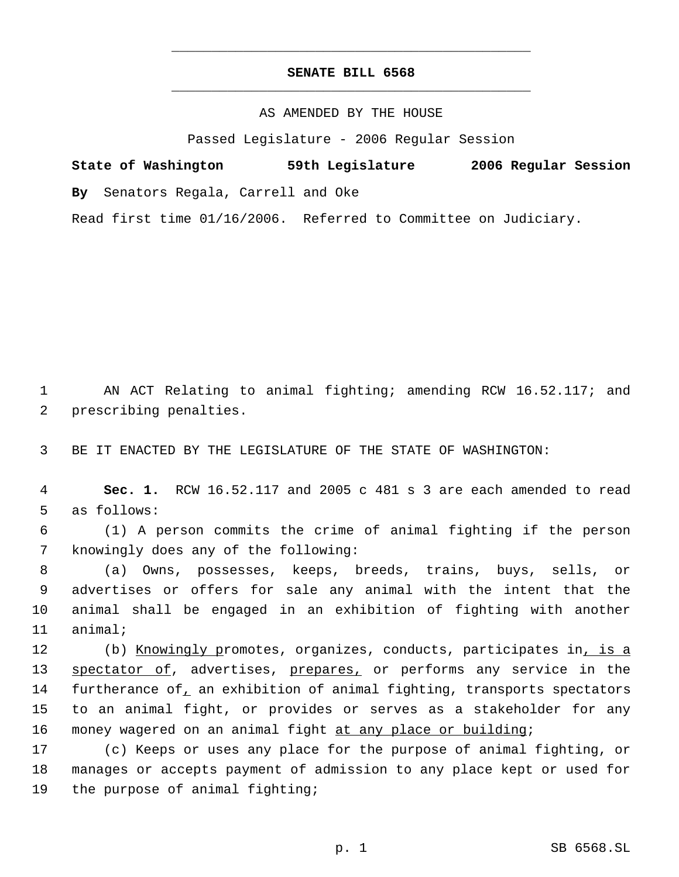## **SENATE BILL 6568** \_\_\_\_\_\_\_\_\_\_\_\_\_\_\_\_\_\_\_\_\_\_\_\_\_\_\_\_\_\_\_\_\_\_\_\_\_\_\_\_\_\_\_\_\_

\_\_\_\_\_\_\_\_\_\_\_\_\_\_\_\_\_\_\_\_\_\_\_\_\_\_\_\_\_\_\_\_\_\_\_\_\_\_\_\_\_\_\_\_\_

AS AMENDED BY THE HOUSE

Passed Legislature - 2006 Regular Session

**State of Washington 59th Legislature 2006 Regular Session By** Senators Regala, Carrell and Oke Read first time 01/16/2006. Referred to Committee on Judiciary.

 1 AN ACT Relating to animal fighting; amending RCW 16.52.117; and 2 prescribing penalties.

3 BE IT ENACTED BY THE LEGISLATURE OF THE STATE OF WASHINGTON:

 4 **Sec. 1.** RCW 16.52.117 and 2005 c 481 s 3 are each amended to read 5 as follows:

 6 (1) A person commits the crime of animal fighting if the person 7 knowingly does any of the following:

 (a) Owns, possesses, keeps, breeds, trains, buys, sells, or advertises or offers for sale any animal with the intent that the animal shall be engaged in an exhibition of fighting with another 11 animal;

12 (b) Knowingly promotes, organizes, conducts, participates in, is a 13 spectator of, advertises, prepares, or performs any service in the 14 furtherance of an exhibition of animal fighting, transports spectators 15 to an animal fight, or provides or serves as a stakeholder for any 16 money wagered on an animal fight at any place or building;

17 (c) Keeps or uses any place for the purpose of animal fighting, or 18 manages or accepts payment of admission to any place kept or used for 19 the purpose of animal fighting;